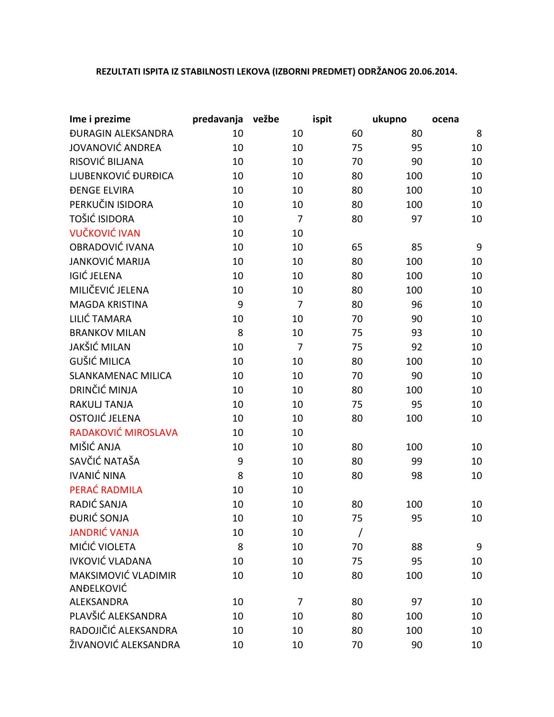## **REZULTATI ISPITA IZ STABILNOSTI LEKOVA (IZBORNI PREDMET) ODRŽANOG 20.06.2014.**

| Ime i prezime                    | predavanja | vežbe          | ispit | ukupno | ocena           |
|----------------------------------|------------|----------------|-------|--------|-----------------|
| <b><i>ĐURAGIN ALEKSANDRA</i></b> | 10         | 10             | 60    | 80     | 8               |
| JOVANOVIĆ ANDREA                 | 10         | 10             | 75    | 95     | 10              |
| RISOVIĆ BILJANA                  | 10         | 10             | 70    | 90     | 10              |
| LJUBENKOVIĆ ĐURĐICA              | 10         | 10             | 80    | 100    | 10              |
| <b><i>ĐENGE ELVIRA</i></b>       | 10         | 10             | 80    | 100    | 10              |
| PERKUČIN ISIDORA                 | 10         | 10             | 80    | 100    | 10              |
| TOŠIĆ ISIDORA                    | 10         | 7              | 80    | 97     | 10              |
| <b>VUČKOVIĆ IVAN</b>             | 10         | 10             |       |        |                 |
| OBRADOVIĆ IVANA                  | 10         | 10             | 65    | 85     | 9               |
| <b>JANKOVIĆ MARIJA</b>           | 10         | 10             | 80    | 100    | 10              |
| <b>IGIĆ JELENA</b>               | 10         | 10             | 80    | 100    | 10              |
| MILIČEVIĆ JELENA                 | 10         | 10             | 80    | 100    | 10              |
| <b>MAGDA KRISTINA</b>            | 9          | 7              | 80    | 96     | 10              |
| LILIĆ TAMARA                     | 10         | 10             | 70    | 90     | 10              |
| <b>BRANKOV MILAN</b>             | 8          | 10             | 75    | 93     | 10              |
| <b>JAKŠIĆ MILAN</b>              | 10         | $\overline{7}$ | 75    | 92     | 10              |
| <b>GUŠIĆ MILICA</b>              | 10         | 10             | 80    | 100    | 10              |
| <b>SLANKAMENAC MILICA</b>        | 10         | 10             | 70    | 90     | 10              |
| DRINČIĆ MINJA                    | 10         | 10             | 80    | 100    | 10              |
| <b>RAKULJ TANJA</b>              | 10         | 10             | 75    | 95     | 10              |
| OSTOJIĆ JELENA                   | 10         | 10             | 80    | 100    | 10              |
| RADAKOVIĆ MIROSLAVA              | 10         | 10             |       |        |                 |
| MIŠIĆ ANJA                       | 10         | 10             | 80    | 100    | 10              |
| SAVČIĆ NATAŠA                    | 9          | 10             | 80    | 99     | 10              |
| <b>IVANIĆ NINA</b>               | 8          | 10             | 80    | 98     | 10              |
| PERAĆ RADMILA                    | 10         | 10             |       |        |                 |
| RADIĆ SANJA                      | 10         | 10             | 80    | 100    | 10              |
| ĐURIĆ SONJA                      | 10         | 10             | 75    | 95     | 10 <sup>°</sup> |
| <b>JANDRIĆ VANJA</b>             | 10         | 10             | Ι     |        |                 |
| MIĆIĆ VIOLETA                    | 8          | 10             | 70    | 88     | 9               |
| <b>IVKOVIĆ VLADANA</b>           | 10         | 10             | 75    | 95     | 10              |
| MAKSIMOVIĆ VLADIMIR              | 10         | 10             | 80    | 100    | 10              |
| ANĐELKOVIĆ                       |            |                |       |        |                 |
| ALEKSANDRA                       | 10         | 7              | 80    | 97     | 10              |
| PLAVŠIĆ ALEKSANDRA               | 10         | 10             | 80    | 100    | 10              |
| RADOJIČIĆ ALEKSANDRA             | 10         | 10             | 80    | 100    | 10              |
| ŽIVANOVIĆ ALEKSANDRA             | 10         | 10             | 70    | 90     | 10              |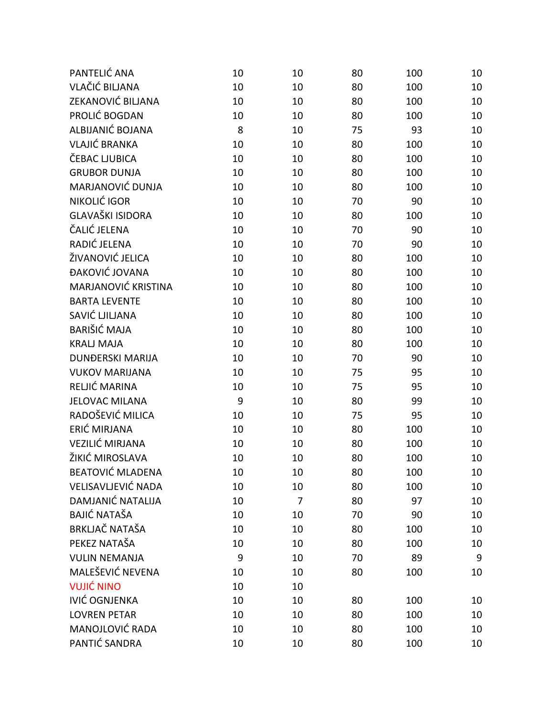| PANTELIĆ ANA               | 10 | 10 | 80 | 100 | 10 |
|----------------------------|----|----|----|-----|----|
| <b>VLAČIĆ BILJANA</b>      | 10 | 10 | 80 | 100 | 10 |
| ZEKANOVIĆ BILJANA          | 10 | 10 | 80 | 100 | 10 |
| PROLIĆ BOGDAN              | 10 | 10 | 80 | 100 | 10 |
| ALBIJANIĆ BOJANA           | 8  | 10 | 75 | 93  | 10 |
| <b>VLAJIĆ BRANKA</b>       | 10 | 10 | 80 | 100 | 10 |
| ČEBAC LJUBICA              | 10 | 10 | 80 | 100 | 10 |
| <b>GRUBOR DUNJA</b>        | 10 | 10 | 80 | 100 | 10 |
| MARJANOVIĆ DUNJA           | 10 | 10 | 80 | 100 | 10 |
| NIKOLIĆ IGOR               | 10 | 10 | 70 | 90  | 10 |
| <b>GLAVAŠKI ISIDORA</b>    | 10 | 10 | 80 | 100 | 10 |
| ČALIĆ JELENA               | 10 | 10 | 70 | 90  | 10 |
| RADIĆ JELENA               | 10 | 10 | 70 | 90  | 10 |
| ŽIVANOVIĆ JELICA           | 10 | 10 | 80 | 100 | 10 |
| ĐAKOVIĆ JOVANA             | 10 | 10 | 80 | 100 | 10 |
| <b>MARJANOVIĆ KRISTINA</b> | 10 | 10 | 80 | 100 | 10 |
| <b>BARTA LEVENTE</b>       | 10 | 10 | 80 | 100 | 10 |
| SAVIĆ LJILJANA             | 10 | 10 | 80 | 100 | 10 |
| <b>BARIŠIĆ MAJA</b>        | 10 | 10 | 80 | 100 | 10 |
| <b>KRALJ MAJA</b>          | 10 | 10 | 80 | 100 | 10 |
| <b>DUNĐERSKI MARIJA</b>    | 10 | 10 | 70 | 90  | 10 |
| <b>VUKOV MARIJANA</b>      | 10 | 10 | 75 | 95  | 10 |
| RELJIĆ MARINA              | 10 | 10 | 75 | 95  | 10 |
| <b>JELOVAC MILANA</b>      | 9  | 10 | 80 | 99  | 10 |
| RADOŠEVIĆ MILICA           | 10 | 10 | 75 | 95  | 10 |
| ERIĆ MIRJANA               | 10 | 10 | 80 | 100 | 10 |
| <b>VEZILIĆ MIRJANA</b>     | 10 | 10 | 80 | 100 | 10 |
| ŽIKIĆ MIROSLAVA            | 10 | 10 | 80 | 100 | 10 |
| <b>BEATOVIĆ MLADENA</b>    | 10 | 10 | 80 | 100 | 10 |
| VELISAVLJEVIĆ NADA         | 10 | 10 | 80 | 100 | 10 |
| DAMJANIĆ NATALIJA          | 10 | 7  | 80 | 97  | 10 |
| <b>BAJIĆ NATAŠA</b>        | 10 | 10 | 70 | 90  | 10 |
| <b>BRKLJAČ NATAŠA</b>      | 10 | 10 | 80 | 100 | 10 |
| PEKEZ NATAŠA               | 10 | 10 | 80 | 100 | 10 |
| <b>VULIN NEMANJA</b>       | 9  | 10 | 70 | 89  | 9  |
| MALEŠEVIĆ NEVENA           | 10 | 10 | 80 | 100 | 10 |
| <b>VUJIĆ NINO</b>          | 10 | 10 |    |     |    |
| <b>IVIĆ OGNJENKA</b>       | 10 | 10 | 80 | 100 | 10 |
| <b>LOVREN PETAR</b>        | 10 | 10 | 80 | 100 | 10 |
| <b>MANOJLOVIĆ RADA</b>     | 10 | 10 | 80 | 100 | 10 |
| PANTIĆ SANDRA              | 10 | 10 | 80 | 100 | 10 |